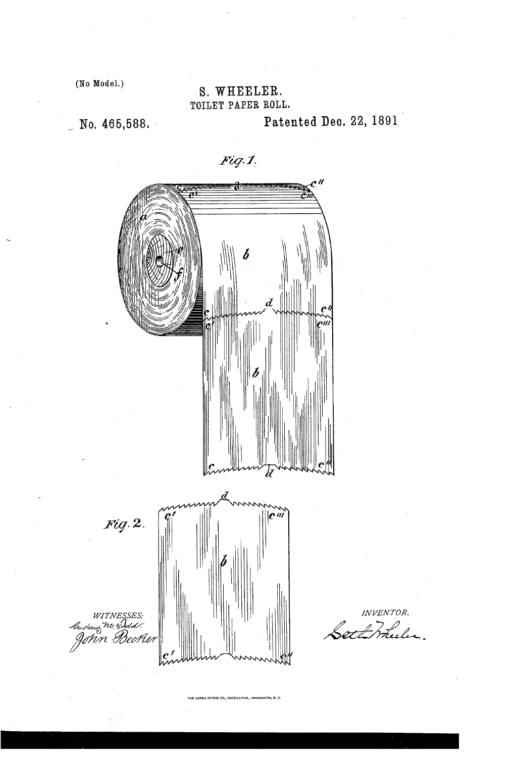$(No Model.)$ 

## S. WHEELER. TOILET PAPER ROLL.

 $\_$  No. 465,588. Patented Dec. 22, 1891

 $Fig.1$ , LL L  $\frac{1}{2}$  (  $\frac{1}{2}$   $\frac{1}{2}$   $\frac{1}{2}$   $\frac{1}{2}$   $\frac{1}{2}$   $\frac{1}{2}$   $\frac{1}{2}$   $\frac{1}{2}$   $\frac{1}{2}$   $\frac{1}{2}$   $\frac{1}{2}$   $\frac{1}{2}$   $\frac{1}{2}$   $\frac{1}{2}$   $\frac{1}{2}$   $\frac{1}{2}$   $\frac{1}{2}$   $\frac{1}{2}$   $\frac{1}{2}$   $\frac{1}{2}$   $\frac{1}{2}$  $Fig. 2.$ witnesses;<br>Andus <sup>no of</sup>dus:<br>John Beche

INVENTOR,